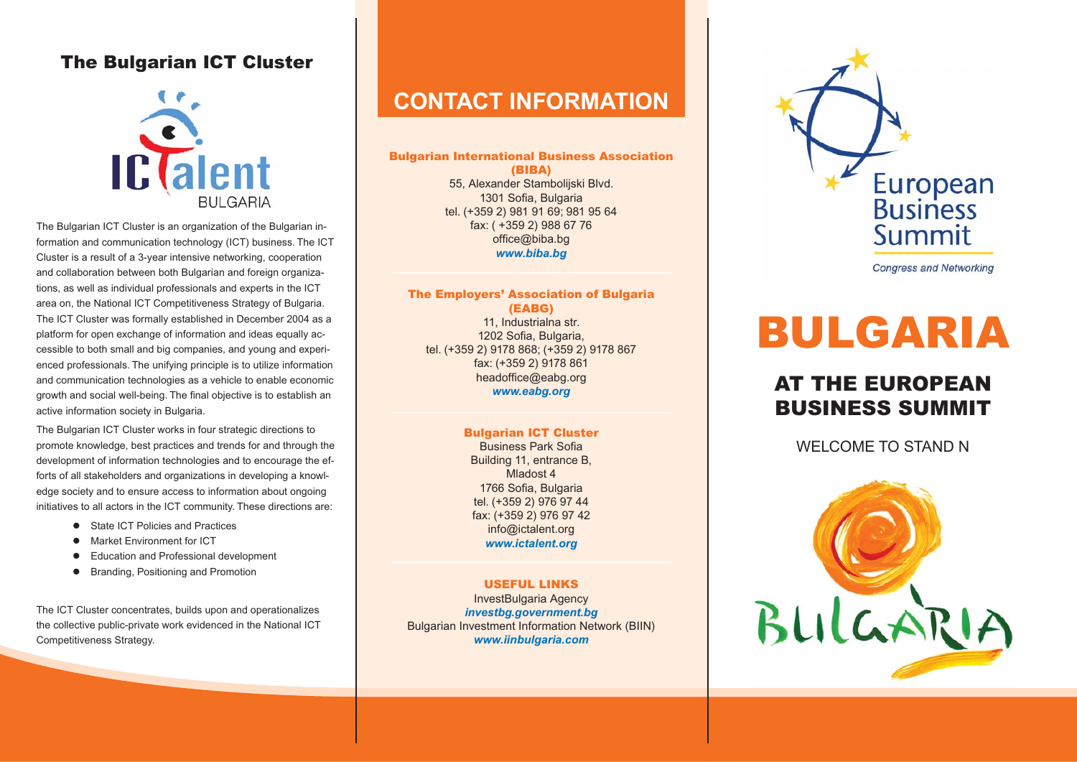### **The Bulgarian ICT Cluster**



The Bulgarian ICT Cluster is an organization of the Bulgarian information and communication technology (ICT) business. The ICT Cluster is a result of a 3-year intensive networking, cooperation and collaboration between both Bulgarian and foreign organizations, as well as individual professionals and experts in the ICT area on, the National ICT Competitiveness Strategy of Bulgaria. The ICT Cluster was formally established in December 2004 as a platform for open exchange of information and ideas equally accessible to both small and big companies, and young and experienced professionals. The unifying principle is to utilize information and communication technologies as a vehicle to enable economic growth and social well-being. The final objective is to establish an active information society in Bulgaria.

The Bulgarian ICT Cluster works in four strategic directions to promote knowledge, best practices and trends for and through the development of information technologies and to encourage the efforts of all stakeholders and organizations in developing a knowledge society and to ensure access to information about ongoing initiatives to all actors in the ICT community. These directions are:

- State ICT Policies and Practices
- **•** Market Environment for ICT
- $\bullet$  Education and Professional development
- **•** Branding, Positioning and Promotion

The ICT Cluster concentrates, builds upon and operationalizes the collective public-private work evidenced in the National ICT Competitiveness Strategy.

## **CONTACT INFORMATION**

**Bulgarian International Business Association (BIBA)** 55, Alexander Stambolijski Blvd. 1301 Sofia, Bulgaria tel. (+359 2) 981 91 69; 981 95 64 fax: ( +359 2) 988 67 76 office@biba.bg *www.biba.bg*

#### **The Employers' Association of Bulgaria (EABG)** 11, Industrialna str.

1202 Sofia, Bulgaria, tel. (+359 2) 9178 868; (+359 2) 9178 867 fax: (+359 2) 9178 861 headoffice@eabg.org *www.eabg.org*

### **Bulgarian ICT Cluster**

Business Park SofiaBuilding 11, entrance B, Mladost 41766 Sofia, Bulgaria tel. (+359 2) 976 97 44 fax: (+359 2) 976 97 42 info@ictalent.org *www.ictalent.org*

#### **USEFUL LINKS**InvestBulgaria Agency

*investbg.government.bg* Bulgarian Investment Information Network (BIIN) *www.iinbulgaria.com*



**Congress and Networking** 

# **BULGARIA**

## **AT THE EUROPEANBUSINESS SUMMIT**

WELCOME TO STAND N